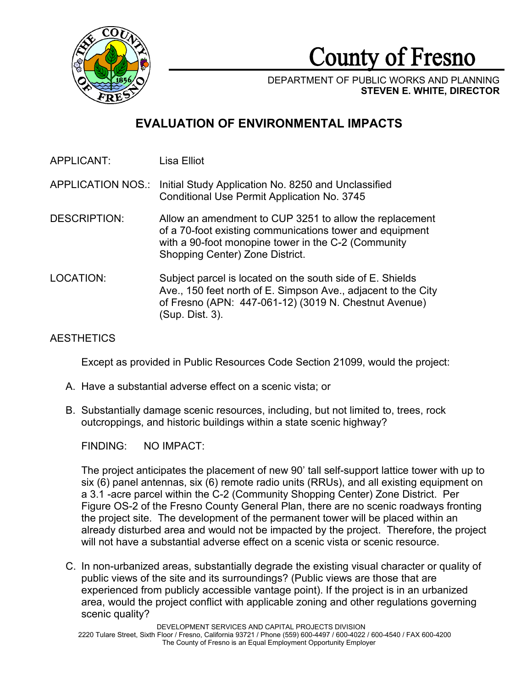

County of Fresno

DEPARTMENT OF PUBLIC WORKS AND PLANNING **STEVEN E. WHITE, DIRECTOR**

# **EVALUATION OF ENVIRONMENTAL IMPACTS**

APPLICANT: Lisa Elliot

APPLICATION NOS.: Initial Study Application No. 8250 and Unclassified Conditional Use Permit Application No. 3745

- DESCRIPTION: Allow an amendment to CUP 3251 to allow the replacement of a 70-foot existing communications tower and equipment with a 90-foot monopine tower in the C-2 (Community Shopping Center) Zone District.
- LOCATION: Subject parcel is located on the south side of E. Shields Ave., 150 feet north of E. Simpson Ave., adjacent to the City of Fresno (APN: 447-061-12) (3019 N. Chestnut Avenue) (Sup. Dist. 3).

# AESTHETICS

Except as provided in Public Resources Code Section 21099, would the project:

- A. Have a substantial adverse effect on a scenic vista; or
- B. Substantially damage scenic resources, including, but not limited to, trees, rock outcroppings, and historic buildings within a state scenic highway?

FINDING: NO IMPACT:

The project anticipates the placement of new 90' tall self-support lattice tower with up to six (6) panel antennas, six (6) remote radio units (RRUs), and all existing equipment on a 3.1 -acre parcel within the C-2 (Community Shopping Center) Zone District. Per Figure OS-2 of the Fresno County General Plan, there are no scenic roadways fronting the project site. The development of the permanent tower will be placed within an already disturbed area and would not be impacted by the project. Therefore, the project will not have a substantial adverse effect on a scenic vista or scenic resource.

C. In non-urbanized areas, substantially degrade the existing visual character or quality of public views of the site and its surroundings? (Public views are those that are experienced from publicly accessible vantage point). If the project is in an urbanized area, would the project conflict with applicable zoning and other regulations governing scenic quality?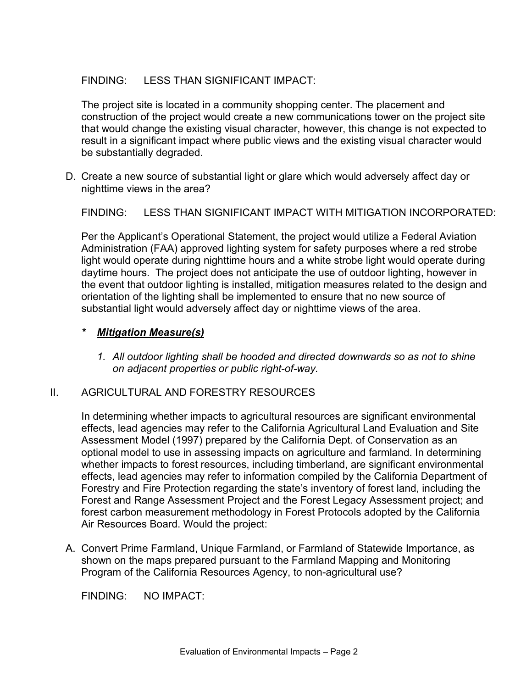# FINDING: LESS THAN SIGNIFICANT IMPACT:

The project site is located in a community shopping center. The placement and construction of the project would create a new communications tower on the project site that would change the existing visual character, however, this change is not expected to result in a significant impact where public views and the existing visual character would be substantially degraded.

D. Create a new source of substantial light or glare which would adversely affect day or nighttime views in the area?

FINDING: LESS THAN SIGNIFICANT IMPACT WITH MITIGATION INCORPORATED:

Per the Applicant's Operational Statement, the project would utilize a Federal Aviation Administration (FAA) approved lighting system for safety purposes where a red strobe light would operate during nighttime hours and a white strobe light would operate during daytime hours. The project does not anticipate the use of outdoor lighting, however in the event that outdoor lighting is installed, mitigation measures related to the design and orientation of the lighting shall be implemented to ensure that no new source of substantial light would adversely affect day or nighttime views of the area.

## *\* Mitigation Measure(s)*

*1. All outdoor lighting shall be hooded and directed downwards so as not to shine on adjacent properties or public right-of-way.* 

## II. AGRICULTURAL AND FORESTRY RESOURCES

In determining whether impacts to agricultural resources are significant environmental effects, lead agencies may refer to the California Agricultural Land Evaluation and Site Assessment Model (1997) prepared by the California Dept. of Conservation as an optional model to use in assessing impacts on agriculture and farmland. In determining whether impacts to forest resources, including timberland, are significant environmental effects, lead agencies may refer to information compiled by the California Department of Forestry and Fire Protection regarding the state's inventory of forest land, including the Forest and Range Assessment Project and the Forest Legacy Assessment project; and forest carbon measurement methodology in Forest Protocols adopted by the California Air Resources Board. Would the project:

A. Convert Prime Farmland, Unique Farmland, or Farmland of Statewide Importance, as shown on the maps prepared pursuant to the Farmland Mapping and Monitoring Program of the California Resources Agency, to non-agricultural use?

FINDING: NO IMPACT: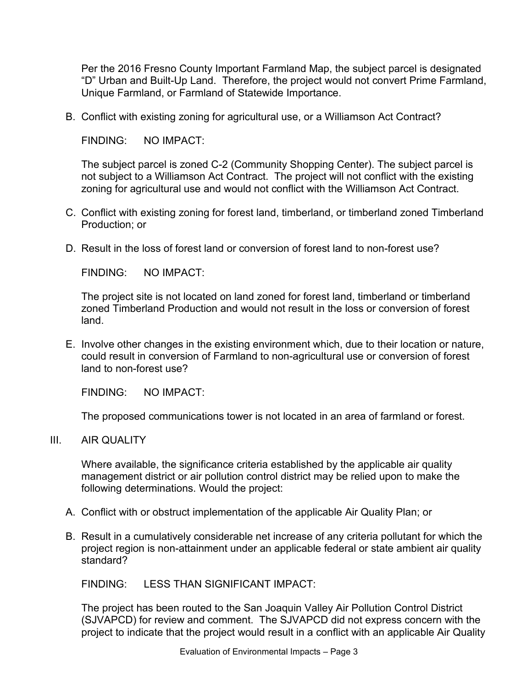Per the 2016 Fresno County Important Farmland Map, the subject parcel is designated "D" Urban and Built-Up Land. Therefore, the project would not convert Prime Farmland, Unique Farmland, or Farmland of Statewide Importance.

B. Conflict with existing zoning for agricultural use, or a Williamson Act Contract?

FINDING: NO IMPACT:

The subject parcel is zoned C-2 (Community Shopping Center). The subject parcel is not subject to a Williamson Act Contract. The project will not conflict with the existing zoning for agricultural use and would not conflict with the Williamson Act Contract.

- C. Conflict with existing zoning for forest land, timberland, or timberland zoned Timberland Production; or
- D. Result in the loss of forest land or conversion of forest land to non-forest use?

FINDING: NO IMPACT:

The project site is not located on land zoned for forest land, timberland or timberland zoned Timberland Production and would not result in the loss or conversion of forest land.

E. Involve other changes in the existing environment which, due to their location or nature, could result in conversion of Farmland to non-agricultural use or conversion of forest land to non-forest use?

FINDING: NO IMPACT:

The proposed communications tower is not located in an area of farmland or forest.

III. AIR QUALITY

Where available, the significance criteria established by the applicable air quality management district or air pollution control district may be relied upon to make the following determinations. Would the project:

- A. Conflict with or obstruct implementation of the applicable Air Quality Plan; or
- B. Result in a cumulatively considerable net increase of any criteria pollutant for which the project region is non-attainment under an applicable federal or state ambient air quality standard?

FINDING: LESS THAN SIGNIFICANT IMPACT:

The project has been routed to the San Joaquin Valley Air Pollution Control District (SJVAPCD) for review and comment. The SJVAPCD did not express concern with the project to indicate that the project would result in a conflict with an applicable Air Quality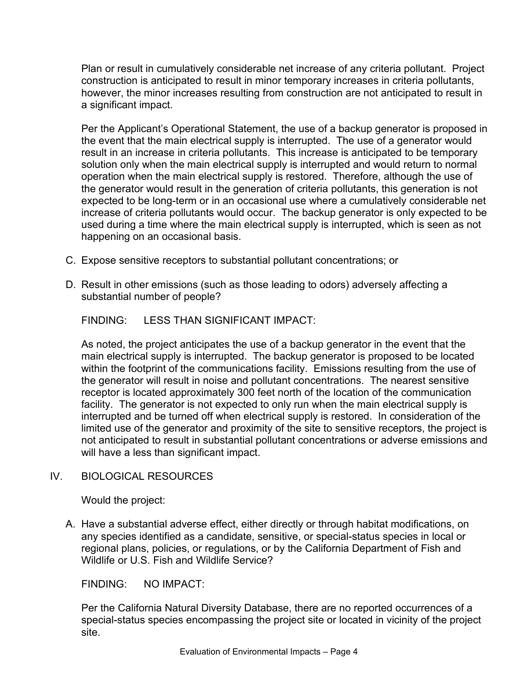Plan or result in cumulatively considerable net increase of any criteria pollutant. Project construction is anticipated to result in minor temporary increases in criteria pollutants, however, the minor increases resulting from construction are not anticipated to result in a significant impact.

Per the Applicant's Operational Statement, the use of a backup generator is proposed in the event that the main electrical supply is interrupted. The use of a generator would result in an increase in criteria pollutants. This increase is anticipated to be temporary solution only when the main electrical supply is interrupted and would return to normal operation when the main electrical supply is restored. Therefore, although the use of the generator would result in the generation of criteria pollutants, this generation is not expected to be long-term or in an occasional use where a cumulatively considerable net increase of criteria pollutants would occur. The backup generator is only expected to be used during a time where the main electrical supply is interrupted, which is seen as not happening on an occasional basis.

- C. Expose sensitive receptors to substantial pollutant concentrations; or
- D. Result in other emissions (such as those leading to odors) adversely affecting a substantial number of people?

FINDING: LESS THAN SIGNIFICANT IMPACT:

As noted, the project anticipates the use of a backup generator in the event that the main electrical supply is interrupted. The backup generator is proposed to be located within the footprint of the communications facility. Emissions resulting from the use of the generator will result in noise and pollutant concentrations. The nearest sensitive receptor is located approximately 300 feet north of the location of the communication facility. The generator is not expected to only run when the main electrical supply is interrupted and be turned off when electrical supply is restored. In consideration of the limited use of the generator and proximity of the site to sensitive receptors, the project is not anticipated to result in substantial pollutant concentrations or adverse emissions and will have a less than significant impact.

# IV. BIOLOGICAL RESOURCES

Would the project:

A. Have a substantial adverse effect, either directly or through habitat modifications, on any species identified as a candidate, sensitive, or special-status species in local or regional plans, policies, or regulations, or by the California Department of Fish and Wildlife or U.S. Fish and Wildlife Service?

FINDING: NO IMPACT:

Per the California Natural Diversity Database, there are no reported occurrences of a special-status species encompassing the project site or located in vicinity of the project site.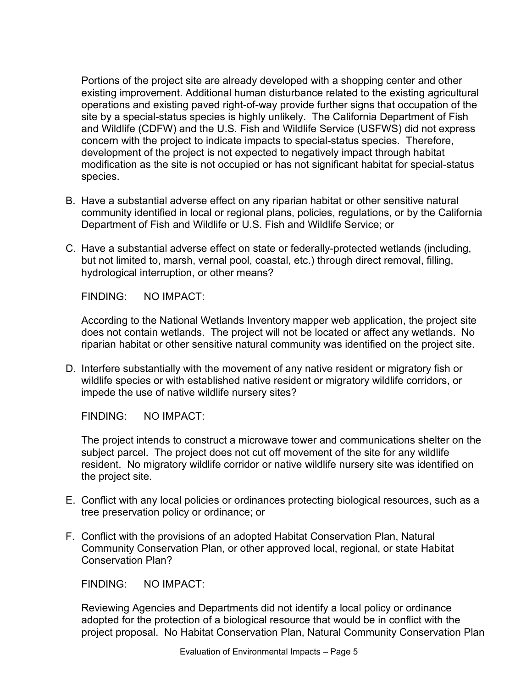Portions of the project site are already developed with a shopping center and other existing improvement. Additional human disturbance related to the existing agricultural operations and existing paved right-of-way provide further signs that occupation of the site by a special-status species is highly unlikely. The California Department of Fish and Wildlife (CDFW) and the U.S. Fish and Wildlife Service (USFWS) did not express concern with the project to indicate impacts to special-status species. Therefore, development of the project is not expected to negatively impact through habitat modification as the site is not occupied or has not significant habitat for special-status species.

- B. Have a substantial adverse effect on any riparian habitat or other sensitive natural community identified in local or regional plans, policies, regulations, or by the California Department of Fish and Wildlife or U.S. Fish and Wildlife Service; or
- C. Have a substantial adverse effect on state or federally-protected wetlands (including, but not limited to, marsh, vernal pool, coastal, etc.) through direct removal, filling, hydrological interruption, or other means?

FINDING: NO IMPACT:

According to the National Wetlands Inventory mapper web application, the project site does not contain wetlands. The project will not be located or affect any wetlands. No riparian habitat or other sensitive natural community was identified on the project site.

D. Interfere substantially with the movement of any native resident or migratory fish or wildlife species or with established native resident or migratory wildlife corridors, or impede the use of native wildlife nursery sites?

FINDING: NO IMPACT:

The project intends to construct a microwave tower and communications shelter on the subject parcel. The project does not cut off movement of the site for any wildlife resident. No migratory wildlife corridor or native wildlife nursery site was identified on the project site.

- E. Conflict with any local policies or ordinances protecting biological resources, such as a tree preservation policy or ordinance; or
- F. Conflict with the provisions of an adopted Habitat Conservation Plan, Natural Community Conservation Plan, or other approved local, regional, or state Habitat Conservation Plan?

FINDING: NO IMPACT:

Reviewing Agencies and Departments did not identify a local policy or ordinance adopted for the protection of a biological resource that would be in conflict with the project proposal. No Habitat Conservation Plan, Natural Community Conservation Plan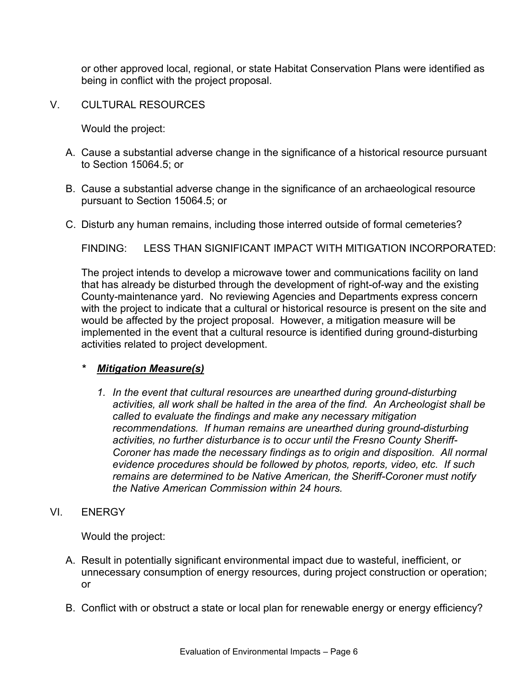or other approved local, regional, or state Habitat Conservation Plans were identified as being in conflict with the project proposal.

V. CULTURAL RESOURCES

Would the project:

- A. Cause a substantial adverse change in the significance of a historical resource pursuant to Section 15064.5; or
- B. Cause a substantial adverse change in the significance of an archaeological resource pursuant to Section 15064.5; or
- C. Disturb any human remains, including those interred outside of formal cemeteries?

FINDING: LESS THAN SIGNIFICANT IMPACT WITH MITIGATION INCORPORATED:

The project intends to develop a microwave tower and communications facility on land that has already be disturbed through the development of right-of-way and the existing County-maintenance yard. No reviewing Agencies and Departments express concern with the project to indicate that a cultural or historical resource is present on the site and would be affected by the project proposal. However, a mitigation measure will be implemented in the event that a cultural resource is identified during ground-disturbing activities related to project development.

#### *\* Mitigation Measure(s)*

- *1. In the event that cultural resources are unearthed during ground-disturbing activities, all work shall be halted in the area of the find. An Archeologist shall be called to evaluate the findings and make any necessary mitigation recommendations. If human remains are unearthed during ground-disturbing activities, no further disturbance is to occur until the Fresno County Sheriff-Coroner has made the necessary findings as to origin and disposition. All normal evidence procedures should be followed by photos, reports, video, etc. If such remains are determined to be Native American, the Sheriff-Coroner must notify the Native American Commission within 24 hours.*
- VI. ENERGY

- A. Result in potentially significant environmental impact due to wasteful, inefficient, or unnecessary consumption of energy resources, during project construction or operation; or
- B. Conflict with or obstruct a state or local plan for renewable energy or energy efficiency?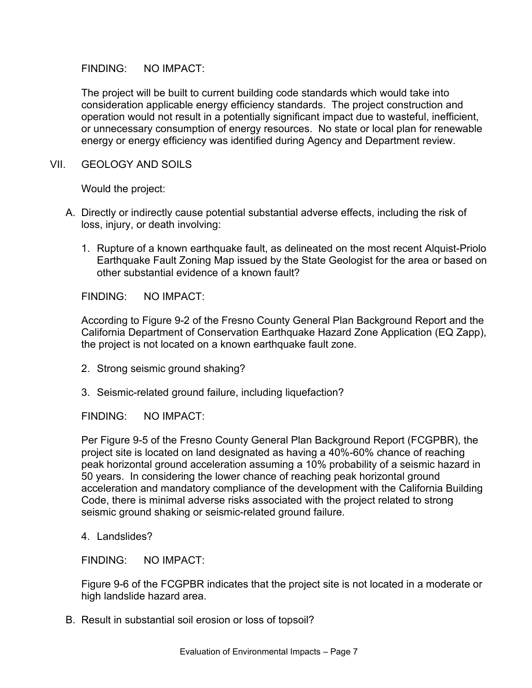The project will be built to current building code standards which would take into consideration applicable energy efficiency standards. The project construction and operation would not result in a potentially significant impact due to wasteful, inefficient, or unnecessary consumption of energy resources. No state or local plan for renewable energy or energy efficiency was identified during Agency and Department review.

VII. GEOLOGY AND SOILS

Would the project:

- A. Directly or indirectly cause potential substantial adverse effects, including the risk of loss, injury, or death involving:
	- 1. Rupture of a known earthquake fault, as delineated on the most recent Alquist-Priolo Earthquake Fault Zoning Map issued by the State Geologist for the area or based on other substantial evidence of a known fault?

FINDING: NO IMPACT:

According to Figure 9-2 of the Fresno County General Plan Background Report and the California Department of Conservation Earthquake Hazard Zone Application (EQ Zapp), the project is not located on a known earthquake fault zone.

- 2. Strong seismic ground shaking?
- 3. Seismic-related ground failure, including liquefaction?

FINDING: NO IMPACT:

Per Figure 9-5 of the Fresno County General Plan Background Report (FCGPBR), the project site is located on land designated as having a 40%-60% chance of reaching peak horizontal ground acceleration assuming a 10% probability of a seismic hazard in 50 years. In considering the lower chance of reaching peak horizontal ground acceleration and mandatory compliance of the development with the California Building Code, there is minimal adverse risks associated with the project related to strong seismic ground shaking or seismic-related ground failure.

4. Landslides?

FINDING: NO IMPACT:

Figure 9-6 of the FCGPBR indicates that the project site is not located in a moderate or high landslide hazard area.

B. Result in substantial soil erosion or loss of topsoil?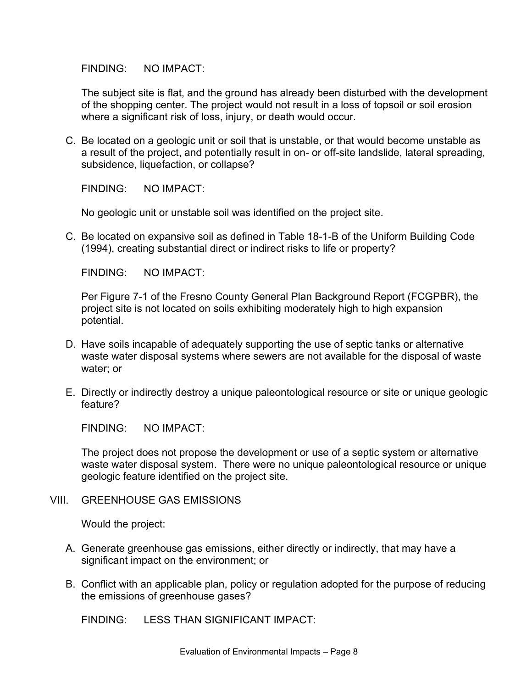The subject site is flat, and the ground has already been disturbed with the development of the shopping center. The project would not result in a loss of topsoil or soil erosion where a significant risk of loss, injury, or death would occur.

C. Be located on a geologic unit or soil that is unstable, or that would become unstable as a result of the project, and potentially result in on- or off-site landslide, lateral spreading, subsidence, liquefaction, or collapse?

FINDING: NO IMPACT:

No geologic unit or unstable soil was identified on the project site.

C. Be located on expansive soil as defined in Table 18-1-B of the Uniform Building Code (1994), creating substantial direct or indirect risks to life or property?

FINDING: NO IMPACT:

Per Figure 7-1 of the Fresno County General Plan Background Report (FCGPBR), the project site is not located on soils exhibiting moderately high to high expansion potential.

- D. Have soils incapable of adequately supporting the use of septic tanks or alternative waste water disposal systems where sewers are not available for the disposal of waste water; or
- E. Directly or indirectly destroy a unique paleontological resource or site or unique geologic feature?

FINDING: NO IMPACT:

The project does not propose the development or use of a septic system or alternative waste water disposal system. There were no unique paleontological resource or unique geologic feature identified on the project site.

VIII. GREENHOUSE GAS EMISSIONS

Would the project:

- A. Generate greenhouse gas emissions, either directly or indirectly, that may have a significant impact on the environment; or
- B. Conflict with an applicable plan, policy or regulation adopted for the purpose of reducing the emissions of greenhouse gases?

FINDING: LESS THAN SIGNIFICANT IMPACT: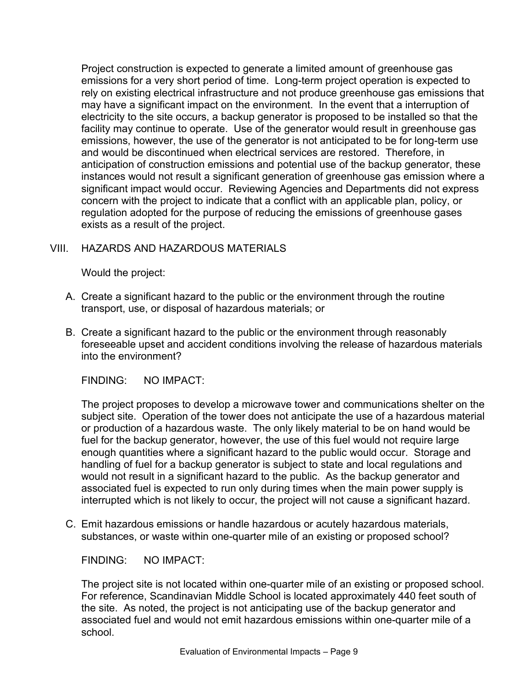Project construction is expected to generate a limited amount of greenhouse gas emissions for a very short period of time. Long-term project operation is expected to rely on existing electrical infrastructure and not produce greenhouse gas emissions that may have a significant impact on the environment. In the event that a interruption of electricity to the site occurs, a backup generator is proposed to be installed so that the facility may continue to operate. Use of the generator would result in greenhouse gas emissions, however, the use of the generator is not anticipated to be for long-term use and would be discontinued when electrical services are restored. Therefore, in anticipation of construction emissions and potential use of the backup generator, these instances would not result a significant generation of greenhouse gas emission where a significant impact would occur. Reviewing Agencies and Departments did not express concern with the project to indicate that a conflict with an applicable plan, policy, or regulation adopted for the purpose of reducing the emissions of greenhouse gases exists as a result of the project.

# VIII. HAZARDS AND HAZARDOUS MATERIALS

Would the project:

- A. Create a significant hazard to the public or the environment through the routine transport, use, or disposal of hazardous materials; or
- B. Create a significant hazard to the public or the environment through reasonably foreseeable upset and accident conditions involving the release of hazardous materials into the environment?

FINDING: NO IMPACT:

The project proposes to develop a microwave tower and communications shelter on the subject site. Operation of the tower does not anticipate the use of a hazardous material or production of a hazardous waste. The only likely material to be on hand would be fuel for the backup generator, however, the use of this fuel would not require large enough quantities where a significant hazard to the public would occur. Storage and handling of fuel for a backup generator is subject to state and local regulations and would not result in a significant hazard to the public. As the backup generator and associated fuel is expected to run only during times when the main power supply is interrupted which is not likely to occur, the project will not cause a significant hazard.

C. Emit hazardous emissions or handle hazardous or acutely hazardous materials, substances, or waste within one-quarter mile of an existing or proposed school?

FINDING: NO IMPACT:

The project site is not located within one-quarter mile of an existing or proposed school. For reference, Scandinavian Middle School is located approximately 440 feet south of the site. As noted, the project is not anticipating use of the backup generator and associated fuel and would not emit hazardous emissions within one-quarter mile of a school.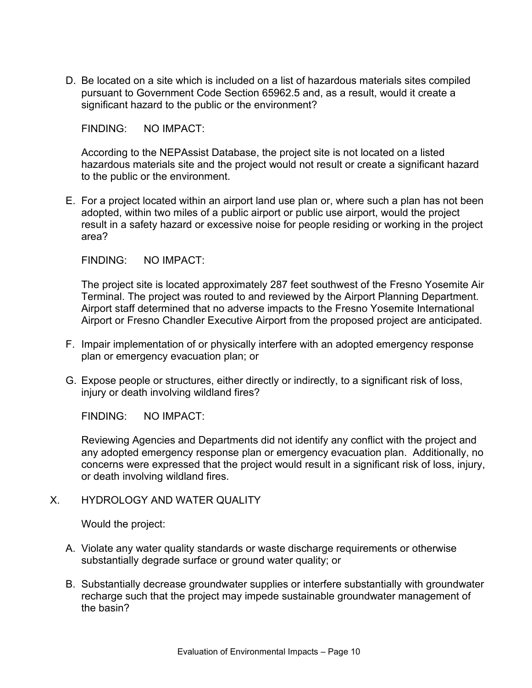D. Be located on a site which is included on a list of hazardous materials sites compiled pursuant to Government Code Section 65962.5 and, as a result, would it create a significant hazard to the public or the environment?

FINDING: NO IMPACT:

According to the NEPAssist Database, the project site is not located on a listed hazardous materials site and the project would not result or create a significant hazard to the public or the environment.

E. For a project located within an airport land use plan or, where such a plan has not been adopted, within two miles of a public airport or public use airport, would the project result in a safety hazard or excessive noise for people residing or working in the project area?

FINDING: NO IMPACT:

The project site is located approximately 287 feet southwest of the Fresno Yosemite Air Terminal. The project was routed to and reviewed by the Airport Planning Department. Airport staff determined that no adverse impacts to the Fresno Yosemite International Airport or Fresno Chandler Executive Airport from the proposed project are anticipated.

- F. Impair implementation of or physically interfere with an adopted emergency response plan or emergency evacuation plan; or
- G. Expose people or structures, either directly or indirectly, to a significant risk of loss, injury or death involving wildland fires?

FINDING: NO IMPACT:

Reviewing Agencies and Departments did not identify any conflict with the project and any adopted emergency response plan or emergency evacuation plan. Additionally, no concerns were expressed that the project would result in a significant risk of loss, injury, or death involving wildland fires.

## X. HYDROLOGY AND WATER QUALITY

- A. Violate any water quality standards or waste discharge requirements or otherwise substantially degrade surface or ground water quality; or
- B. Substantially decrease groundwater supplies or interfere substantially with groundwater recharge such that the project may impede sustainable groundwater management of the basin?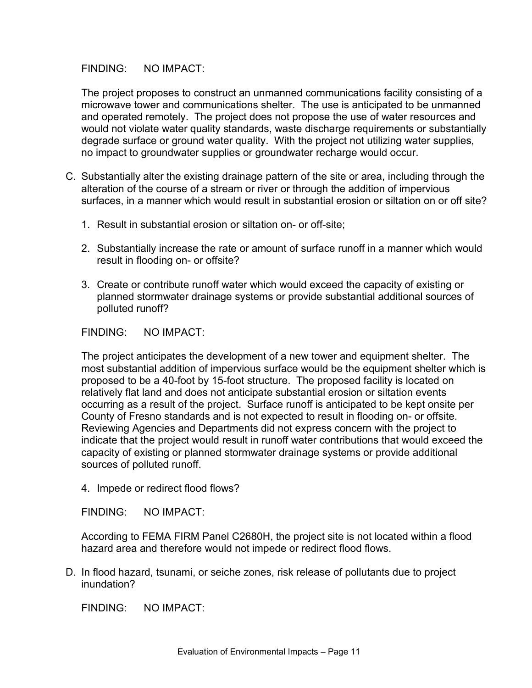The project proposes to construct an unmanned communications facility consisting of a microwave tower and communications shelter. The use is anticipated to be unmanned and operated remotely. The project does not propose the use of water resources and would not violate water quality standards, waste discharge requirements or substantially degrade surface or ground water quality. With the project not utilizing water supplies, no impact to groundwater supplies or groundwater recharge would occur.

- C. Substantially alter the existing drainage pattern of the site or area, including through the alteration of the course of a stream or river or through the addition of impervious surfaces, in a manner which would result in substantial erosion or siltation on or off site?
	- 1. Result in substantial erosion or siltation on- or off-site;
	- 2. Substantially increase the rate or amount of surface runoff in a manner which would result in flooding on- or offsite?
	- 3. Create or contribute runoff water which would exceed the capacity of existing or planned stormwater drainage systems or provide substantial additional sources of polluted runoff?

FINDING: NO IMPACT:

The project anticipates the development of a new tower and equipment shelter. The most substantial addition of impervious surface would be the equipment shelter which is proposed to be a 40-foot by 15-foot structure. The proposed facility is located on relatively flat land and does not anticipate substantial erosion or siltation events occurring as a result of the project. Surface runoff is anticipated to be kept onsite per County of Fresno standards and is not expected to result in flooding on- or offsite. Reviewing Agencies and Departments did not express concern with the project to indicate that the project would result in runoff water contributions that would exceed the capacity of existing or planned stormwater drainage systems or provide additional sources of polluted runoff.

4. Impede or redirect flood flows?

FINDING: NO IMPACT:

According to FEMA FIRM Panel C2680H, the project site is not located within a flood hazard area and therefore would not impede or redirect flood flows.

D. In flood hazard, tsunami, or seiche zones, risk release of pollutants due to project inundation?

FINDING: NO IMPACT: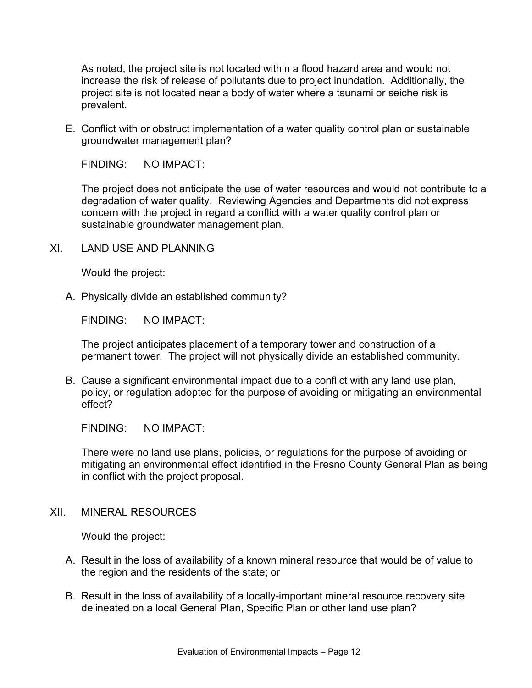As noted, the project site is not located within a flood hazard area and would not increase the risk of release of pollutants due to project inundation. Additionally, the project site is not located near a body of water where a tsunami or seiche risk is prevalent.

E. Conflict with or obstruct implementation of a water quality control plan or sustainable groundwater management plan?

FINDING: NO IMPACT:

The project does not anticipate the use of water resources and would not contribute to a degradation of water quality. Reviewing Agencies and Departments did not express concern with the project in regard a conflict with a water quality control plan or sustainable groundwater management plan.

XI. LAND USE AND PLANNING

Would the project:

A. Physically divide an established community?

FINDING: NO IMPACT:

The project anticipates placement of a temporary tower and construction of a permanent tower. The project will not physically divide an established community.

B. Cause a significant environmental impact due to a conflict with any land use plan, policy, or regulation adopted for the purpose of avoiding or mitigating an environmental effect?

FINDING: NO IMPACT:

There were no land use plans, policies, or regulations for the purpose of avoiding or mitigating an environmental effect identified in the Fresno County General Plan as being in conflict with the project proposal.

XII. MINERAL RESOURCES

- A. Result in the loss of availability of a known mineral resource that would be of value to the region and the residents of the state; or
- B. Result in the loss of availability of a locally-important mineral resource recovery site delineated on a local General Plan, Specific Plan or other land use plan?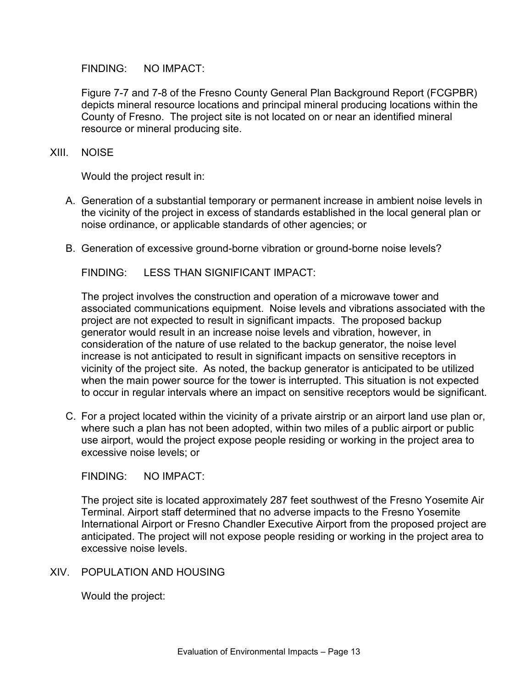Figure 7-7 and 7-8 of the Fresno County General Plan Background Report (FCGPBR) depicts mineral resource locations and principal mineral producing locations within the County of Fresno. The project site is not located on or near an identified mineral resource or mineral producing site.

#### XIII. NOISE

Would the project result in:

- A. Generation of a substantial temporary or permanent increase in ambient noise levels in the vicinity of the project in excess of standards established in the local general plan or noise ordinance, or applicable standards of other agencies; or
- B. Generation of excessive ground-borne vibration or ground-borne noise levels?

FINDING: LESS THAN SIGNIFICANT IMPACT:

The project involves the construction and operation of a microwave tower and associated communications equipment. Noise levels and vibrations associated with the project are not expected to result in significant impacts. The proposed backup generator would result in an increase noise levels and vibration, however, in consideration of the nature of use related to the backup generator, the noise level increase is not anticipated to result in significant impacts on sensitive receptors in vicinity of the project site. As noted, the backup generator is anticipated to be utilized when the main power source for the tower is interrupted. This situation is not expected to occur in regular intervals where an impact on sensitive receptors would be significant.

C. For a project located within the vicinity of a private airstrip or an airport land use plan or, where such a plan has not been adopted, within two miles of a public airport or public use airport, would the project expose people residing or working in the project area to excessive noise levels; or

FINDING: NO IMPACT:

The project site is located approximately 287 feet southwest of the Fresno Yosemite Air Terminal. Airport staff determined that no adverse impacts to the Fresno Yosemite International Airport or Fresno Chandler Executive Airport from the proposed project are anticipated. The project will not expose people residing or working in the project area to excessive noise levels.

XIV. POPULATION AND HOUSING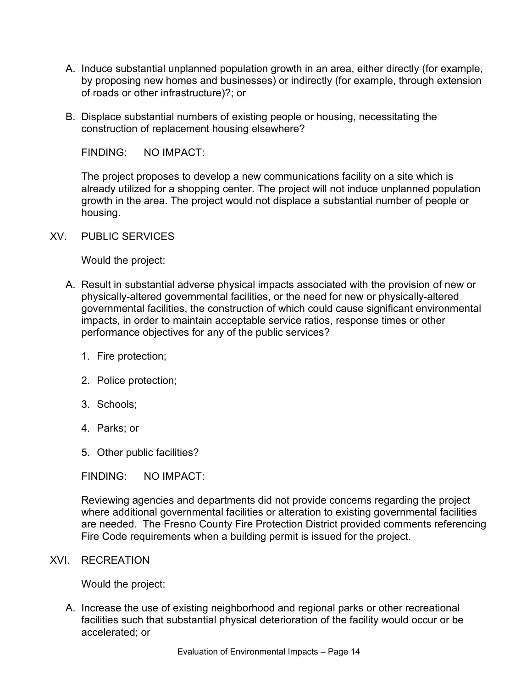- A. Induce substantial unplanned population growth in an area, either directly (for example, by proposing new homes and businesses) or indirectly (for example, through extension of roads or other infrastructure)?; or
- B. Displace substantial numbers of existing people or housing, necessitating the construction of replacement housing elsewhere?

The project proposes to develop a new communications facility on a site which is already utilized for a shopping center. The project will not induce unplanned population growth in the area. The project would not displace a substantial number of people or housing.

XV. PUBLIC SERVICES

Would the project:

- A. Result in substantial adverse physical impacts associated with the provision of new or physically-altered governmental facilities, or the need for new or physically-altered governmental facilities, the construction of which could cause significant environmental impacts, in order to maintain acceptable service ratios, response times or other performance objectives for any of the public services?
	- 1. Fire protection;
	- 2. Police protection;
	- 3. Schools;
	- 4. Parks; or
	- 5. Other public facilities?

FINDING: NO IMPACT:

Reviewing agencies and departments did not provide concerns regarding the project where additional governmental facilities or alteration to existing governmental facilities are needed. The Fresno County Fire Protection District provided comments referencing Fire Code requirements when a building permit is issued for the project.

#### XVI. RECREATION

Would the project:

A. Increase the use of existing neighborhood and regional parks or other recreational facilities such that substantial physical deterioration of the facility would occur or be accelerated; or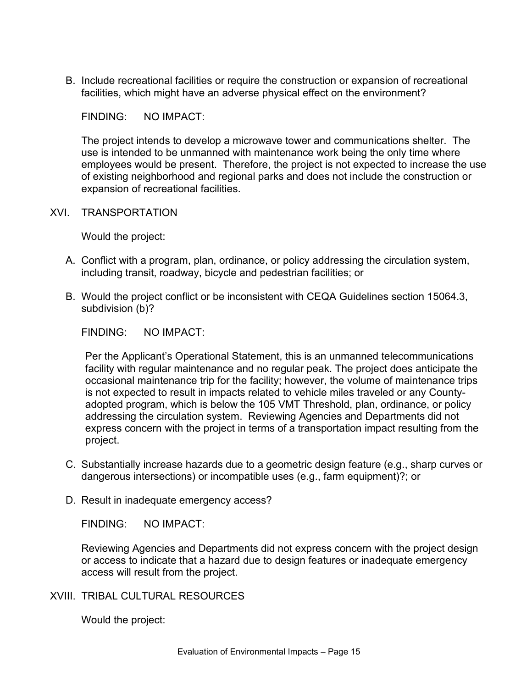B. Include recreational facilities or require the construction or expansion of recreational facilities, which might have an adverse physical effect on the environment?

FINDING: NO IMPACT:

The project intends to develop a microwave tower and communications shelter. The use is intended to be unmanned with maintenance work being the only time where employees would be present. Therefore, the project is not expected to increase the use of existing neighborhood and regional parks and does not include the construction or expansion of recreational facilities.

XVI. TRANSPORTATION

Would the project:

- A. Conflict with a program, plan, ordinance, or policy addressing the circulation system, including transit, roadway, bicycle and pedestrian facilities; or
- B. Would the project conflict or be inconsistent with CEQA Guidelines section 15064.3, subdivision (b)?

FINDING: NO IMPACT:

Per the Applicant's Operational Statement, this is an unmanned telecommunications facility with regular maintenance and no regular peak. The project does anticipate the occasional maintenance trip for the facility; however, the volume of maintenance trips is not expected to result in impacts related to vehicle miles traveled or any Countyadopted program, which is below the 105 VMT Threshold, plan, ordinance, or policy addressing the circulation system. Reviewing Agencies and Departments did not express concern with the project in terms of a transportation impact resulting from the project.

- C. Substantially increase hazards due to a geometric design feature (e.g., sharp curves or dangerous intersections) or incompatible uses (e.g., farm equipment)?; or
- D. Result in inadequate emergency access?

FINDING: NO IMPACT:

Reviewing Agencies and Departments did not express concern with the project design or access to indicate that a hazard due to design features or inadequate emergency access will result from the project.

XVIII. TRIBAL CULTURAL RESOURCES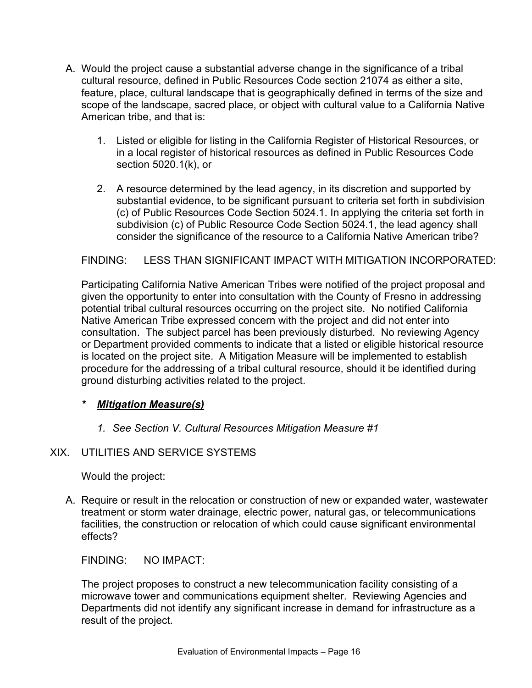- A. Would the project cause a substantial adverse change in the significance of a tribal cultural resource, defined in Public Resources Code section 21074 as either a site, feature, place, cultural landscape that is geographically defined in terms of the size and scope of the landscape, sacred place, or object with cultural value to a California Native American tribe, and that is:
	- 1. Listed or eligible for listing in the California Register of Historical Resources, or in a local register of historical resources as defined in Public Resources Code section 5020.1(k), or
	- 2. A resource determined by the lead agency, in its discretion and supported by substantial evidence, to be significant pursuant to criteria set forth in subdivision (c) of Public Resources Code Section 5024.1. In applying the criteria set forth in subdivision (c) of Public Resource Code Section 5024.1, the lead agency shall consider the significance of the resource to a California Native American tribe?

## FINDING: LESS THAN SIGNIFICANT IMPACT WITH MITIGATION INCORPORATED:

Participating California Native American Tribes were notified of the project proposal and given the opportunity to enter into consultation with the County of Fresno in addressing potential tribal cultural resources occurring on the project site. No notified California Native American Tribe expressed concern with the project and did not enter into consultation. The subject parcel has been previously disturbed. No reviewing Agency or Department provided comments to indicate that a listed or eligible historical resource is located on the project site. A Mitigation Measure will be implemented to establish procedure for the addressing of a tribal cultural resource, should it be identified during ground disturbing activities related to the project.

## *\* Mitigation Measure(s)*

*1. See Section V. Cultural Resources Mitigation Measure #1*

## XIX. UTILITIES AND SERVICE SYSTEMS

Would the project:

A. Require or result in the relocation or construction of new or expanded water, wastewater treatment or storm water drainage, electric power, natural gas, or telecommunications facilities, the construction or relocation of which could cause significant environmental effects?

FINDING: NO IMPACT:

The project proposes to construct a new telecommunication facility consisting of a microwave tower and communications equipment shelter. Reviewing Agencies and Departments did not identify any significant increase in demand for infrastructure as a result of the project.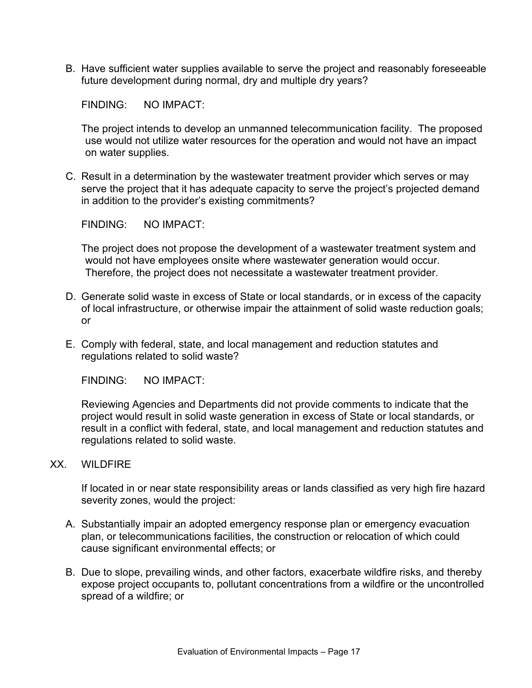B. Have sufficient water supplies available to serve the project and reasonably foreseeable future development during normal, dry and multiple dry years?

FINDING: NO IMPACT:

The project intends to develop an unmanned telecommunication facility. The proposed use would not utilize water resources for the operation and would not have an impact on water supplies.

C. Result in a determination by the wastewater treatment provider which serves or may serve the project that it has adequate capacity to serve the project's projected demand in addition to the provider's existing commitments?

FINDING: NO IMPACT:

The project does not propose the development of a wastewater treatment system and would not have employees onsite where wastewater generation would occur. Therefore, the project does not necessitate a wastewater treatment provider.

- D. Generate solid waste in excess of State or local standards, or in excess of the capacity of local infrastructure, or otherwise impair the attainment of solid waste reduction goals; or
- E. Comply with federal, state, and local management and reduction statutes and regulations related to solid waste?

FINDING: NO IMPACT:

Reviewing Agencies and Departments did not provide comments to indicate that the project would result in solid waste generation in excess of State or local standards, or result in a conflict with federal, state, and local management and reduction statutes and regulations related to solid waste.

XX. WILDFIRE

If located in or near state responsibility areas or lands classified as very high fire hazard severity zones, would the project:

- A. Substantially impair an adopted emergency response plan or emergency evacuation plan, or telecommunications facilities, the construction or relocation of which could cause significant environmental effects; or
- B. Due to slope, prevailing winds, and other factors, exacerbate wildfire risks, and thereby expose project occupants to, pollutant concentrations from a wildfire or the uncontrolled spread of a wildfire; or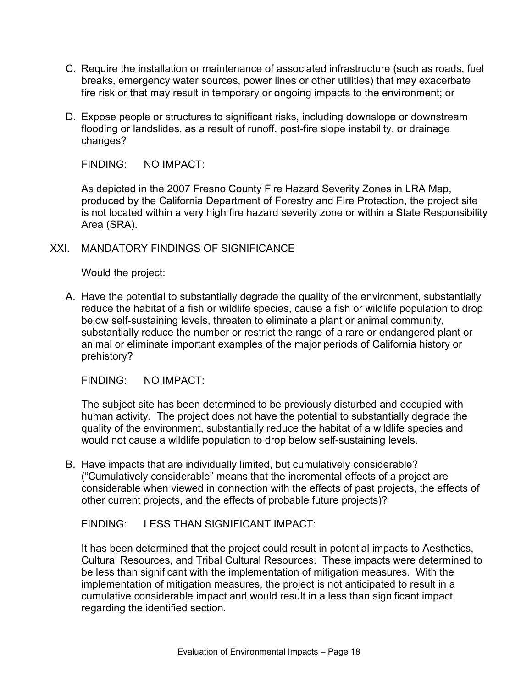- C. Require the installation or maintenance of associated infrastructure (such as roads, fuel breaks, emergency water sources, power lines or other utilities) that may exacerbate fire risk or that may result in temporary or ongoing impacts to the environment; or
- D. Expose people or structures to significant risks, including downslope or downstream flooding or landslides, as a result of runoff, post-fire slope instability, or drainage changes?

As depicted in the 2007 Fresno County Fire Hazard Severity Zones in LRA Map, produced by the California Department of Forestry and Fire Protection, the project site is not located within a very high fire hazard severity zone or within a State Responsibility Area (SRA).

#### XXI. MANDATORY FINDINGS OF SIGNIFICANCE

Would the project:

A. Have the potential to substantially degrade the quality of the environment, substantially reduce the habitat of a fish or wildlife species, cause a fish or wildlife population to drop below self-sustaining levels, threaten to eliminate a plant or animal community, substantially reduce the number or restrict the range of a rare or endangered plant or animal or eliminate important examples of the major periods of California history or prehistory?

FINDING: NO IMPACT:

The subject site has been determined to be previously disturbed and occupied with human activity. The project does not have the potential to substantially degrade the quality of the environment, substantially reduce the habitat of a wildlife species and would not cause a wildlife population to drop below self-sustaining levels.

B. Have impacts that are individually limited, but cumulatively considerable? ("Cumulatively considerable" means that the incremental effects of a project are considerable when viewed in connection with the effects of past projects, the effects of other current projects, and the effects of probable future projects)?

FINDING: LESS THAN SIGNIFICANT IMPACT:

It has been determined that the project could result in potential impacts to Aesthetics, Cultural Resources, and Tribal Cultural Resources. These impacts were determined to be less than significant with the implementation of mitigation measures. With the implementation of mitigation measures, the project is not anticipated to result in a cumulative considerable impact and would result in a less than significant impact regarding the identified section.